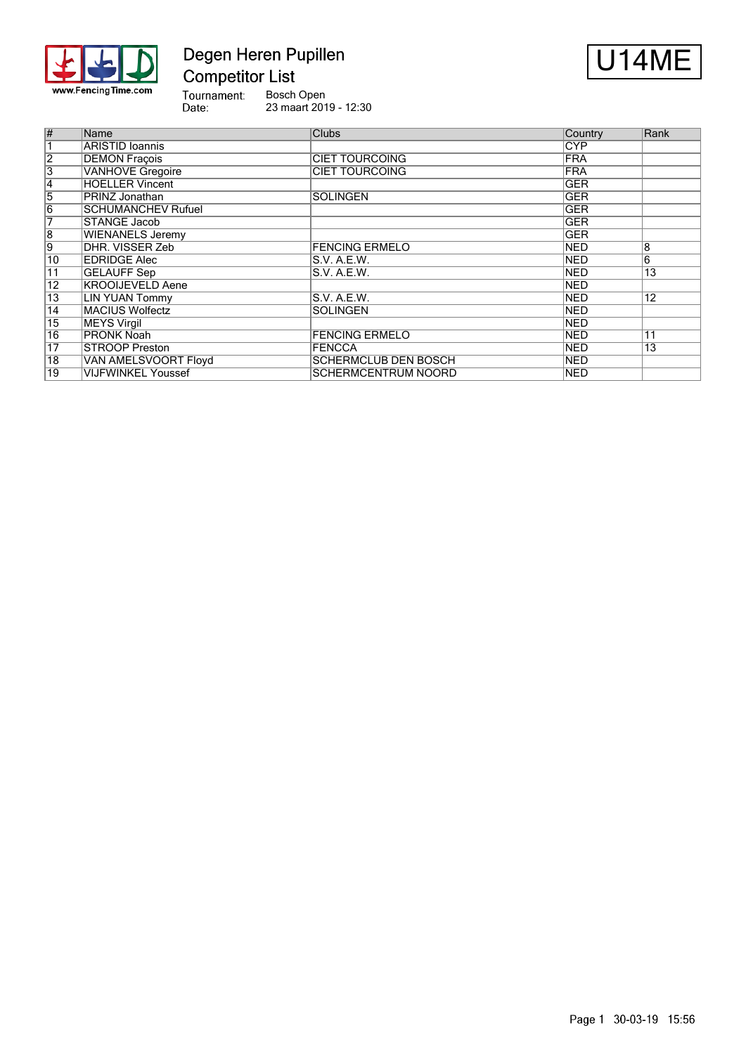

# Degen Heren Pupillen **Competitor List**



Tournament:<br>Date: Bosch Open 23 maart 2019 - 12:30

| #               | Name                      | <b>Clubs</b>                | Country    | Rank            |
|-----------------|---------------------------|-----------------------------|------------|-----------------|
|                 | <b>ARISTID Ioannis</b>    |                             | <b>CYP</b> |                 |
| $\overline{2}$  | <b>DEMON Fracois</b>      | <b>CIET TOURCOING</b>       | <b>FRA</b> |                 |
| 3               | <b>VANHOVE</b> Gregoire   | <b>CIET TOURCOING</b>       | <b>FRA</b> |                 |
| $\overline{4}$  | <b>HOELLER Vincent</b>    |                             | <b>GER</b> |                 |
| $\overline{5}$  | <b>PRINZ Jonathan</b>     | <b>SOLINGEN</b>             | <b>GER</b> |                 |
| $\overline{6}$  | <b>SCHUMANCHEV Rufuel</b> |                             | <b>GER</b> |                 |
| 7               | STANGE Jacob              |                             | <b>GER</b> |                 |
| $\overline{8}$  | <b>WIENANELS Jeremy</b>   |                             | <b>GER</b> |                 |
| 9               | DHR. VISSER Zeb           | <b>FENCING ERMELO</b>       | <b>NED</b> | 8               |
| 10              | <b>EDRIDGE Alec</b>       | S.V. A.E.W.                 | <b>NED</b> | $6\overline{6}$ |
| 11              | <b>GELAUFF Sep</b>        | S.V. A.E.W.                 | <b>NED</b> | $\overline{13}$ |
| $\overline{12}$ | <b>KROOIJEVELD Aene</b>   |                             | <b>NED</b> |                 |
| $\overline{13}$ | LIN YUAN Tommy            | S.V. A.E.W.                 | <b>NED</b> | 12              |
| $\overline{14}$ | <b>MACIUS Wolfectz</b>    | <b>SOLINGEN</b>             | <b>NED</b> |                 |
| 15              | MEYS Virgil               |                             | <b>NED</b> |                 |
| $\overline{16}$ | <b>PRONK Noah</b>         | <b>FENCING ERMELO</b>       | <b>NED</b> | 11              |
| $\overline{17}$ | <b>STROOP Preston</b>     | <b>FENCCA</b>               | NED        | 13              |
| $\overline{18}$ | VAN AMELSVOORT Floyd      | <b>SCHERMCLUB DEN BOSCH</b> | <b>NED</b> |                 |
| 19              | <b>VIJFWINKEL Youssef</b> | <b>SCHERMCENTRUM NOORD</b>  | <b>NED</b> |                 |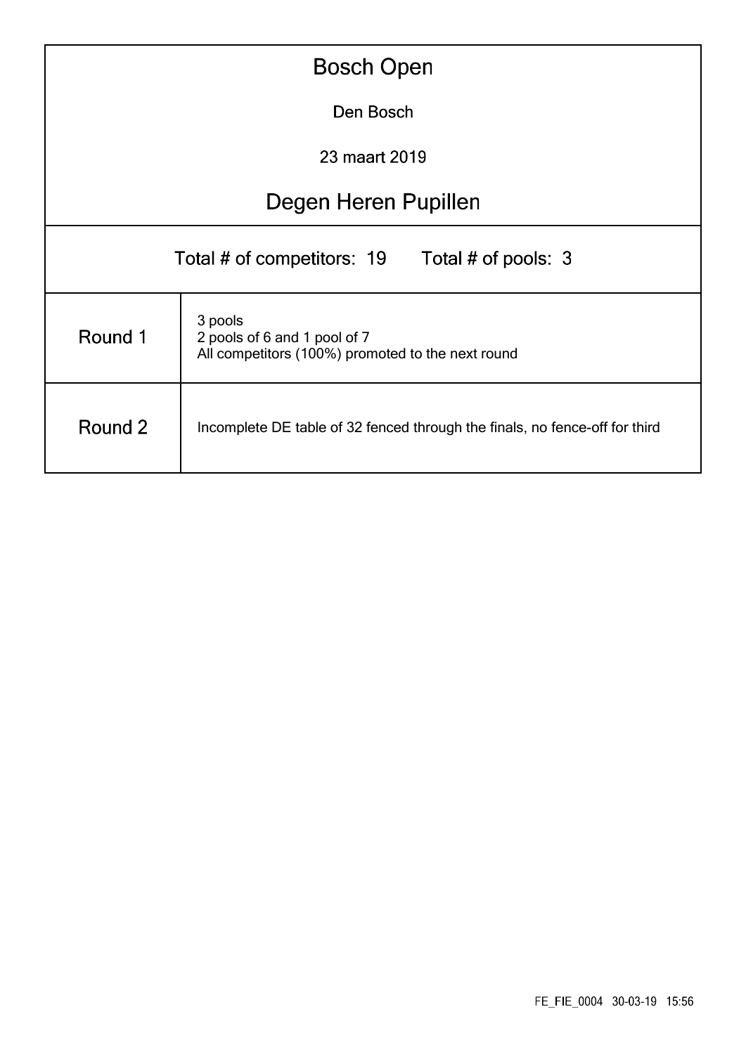| <b>Bosch Open</b>                                                                                       |                                                                             |  |  |  |  |  |  |  |  |  |
|---------------------------------------------------------------------------------------------------------|-----------------------------------------------------------------------------|--|--|--|--|--|--|--|--|--|
| Den Bosch                                                                                               |                                                                             |  |  |  |  |  |  |  |  |  |
| 23 maart 2019                                                                                           |                                                                             |  |  |  |  |  |  |  |  |  |
| Degen Heren Pupillen                                                                                    |                                                                             |  |  |  |  |  |  |  |  |  |
| Total # of competitors: 19 Total # of pools: 3                                                          |                                                                             |  |  |  |  |  |  |  |  |  |
| 3 pools<br>Round 1<br>2 pools of 6 and 1 pool of 7<br>All competitors (100%) promoted to the next round |                                                                             |  |  |  |  |  |  |  |  |  |
| Round 2                                                                                                 | Incomplete DE table of 32 fenced through the finals, no fence-off for third |  |  |  |  |  |  |  |  |  |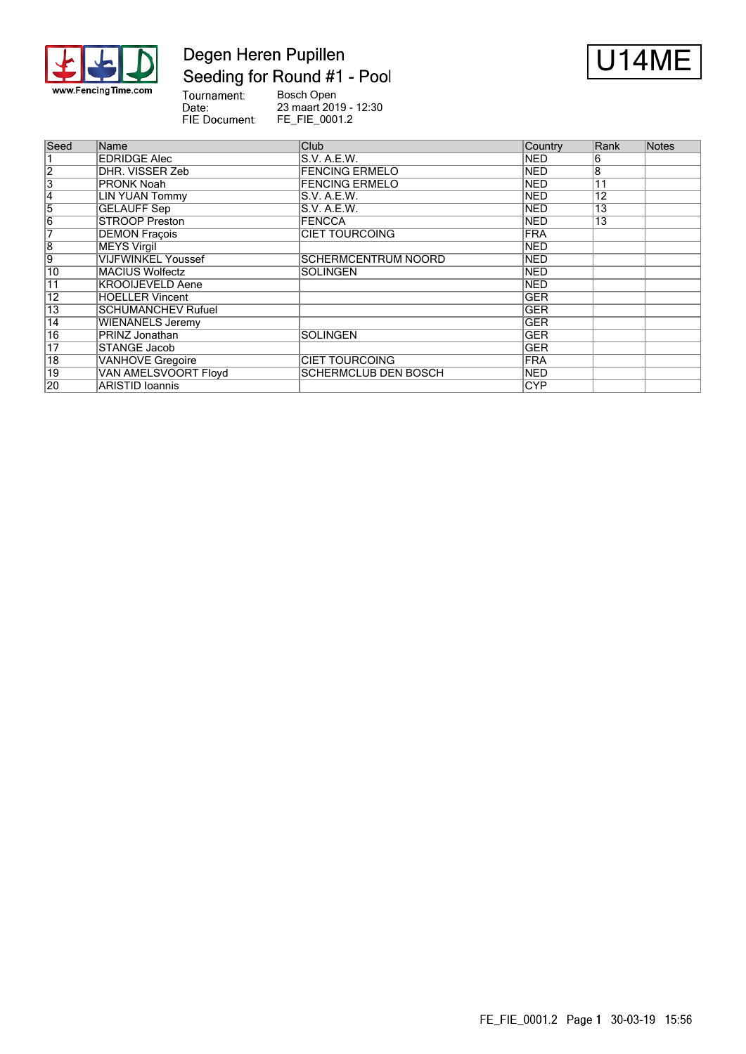

## Degen Heren Pupillen Seeding for Round #1 - Pool



Tournament:<br>Date: Bosch Open 23 maart 2019 - 12:30 FIE Document: FE\_FIE\_0001.2

| Seed                      | Name                      | Club                        | Country    | Rank | Notes |
|---------------------------|---------------------------|-----------------------------|------------|------|-------|
|                           | <b>EDRIDGE Alec</b>       | S.V. A.E.W.                 | <b>NED</b> | 6    |       |
| $\overline{2}$            | DHR. VISSER Zeb           | <b>FENCING ERMELO</b>       | <b>NED</b> | 8    |       |
| $\overline{\overline{3}}$ | <b>PRONK Noah</b>         | <b>FENCING ERMELO</b>       | <b>NED</b> | 11   |       |
| 14                        | <b>LIN YUAN Tommy</b>     | S.V. A.E.W.                 | <b>NED</b> | 12   |       |
| 5                         | <b>GELAUFF Sep</b>        | S.V. A.E.W.                 | <b>NED</b> | 13   |       |
| $\overline{6}$            | <b>STROOP Preston</b>     | <b>FENCCA</b>               | <b>NED</b> | 13   |       |
| 7                         | <b>DEMON Fracois</b>      | <b>CIET TOURCOING</b>       | <b>FRA</b> |      |       |
| $\overline{8}$            | <b>MEYS Virgil</b>        |                             | <b>NED</b> |      |       |
| 9                         | <b>VIJFWINKEL Youssef</b> | <b>SCHERMCENTRUM NOORD</b>  | <b>NED</b> |      |       |
| $\overline{10}$           | <b>MACIUS Wolfectz</b>    | <b>SOLINGEN</b>             | <b>NED</b> |      |       |
| $\overline{11}$           | <b>KROOIJEVELD Aene</b>   |                             | <b>NED</b> |      |       |
| $\overline{12}$           | <b>HOELLER Vincent</b>    |                             | <b>GER</b> |      |       |
| 13                        | <b>SCHUMANCHEV Rufuel</b> |                             | <b>GER</b> |      |       |
| 14                        | <b>WIENANELS Jeremy</b>   |                             | <b>GER</b> |      |       |
| 16                        | PRINZ Jonathan            | <b>SOLINGEN</b>             | <b>GER</b> |      |       |
| $\overline{17}$           | <b>STANGE Jacob</b>       |                             | <b>GER</b> |      |       |
| $\overline{18}$           | <b>VANHOVE Gregoire</b>   | <b>CIET TOURCOING</b>       | <b>FRA</b> |      |       |
| 19                        | VAN AMELSVOORT Floyd      | <b>SCHERMCLUB DEN BOSCH</b> | <b>NED</b> |      |       |
| 20                        | ARISTID Ioannis           |                             | <b>CYP</b> |      |       |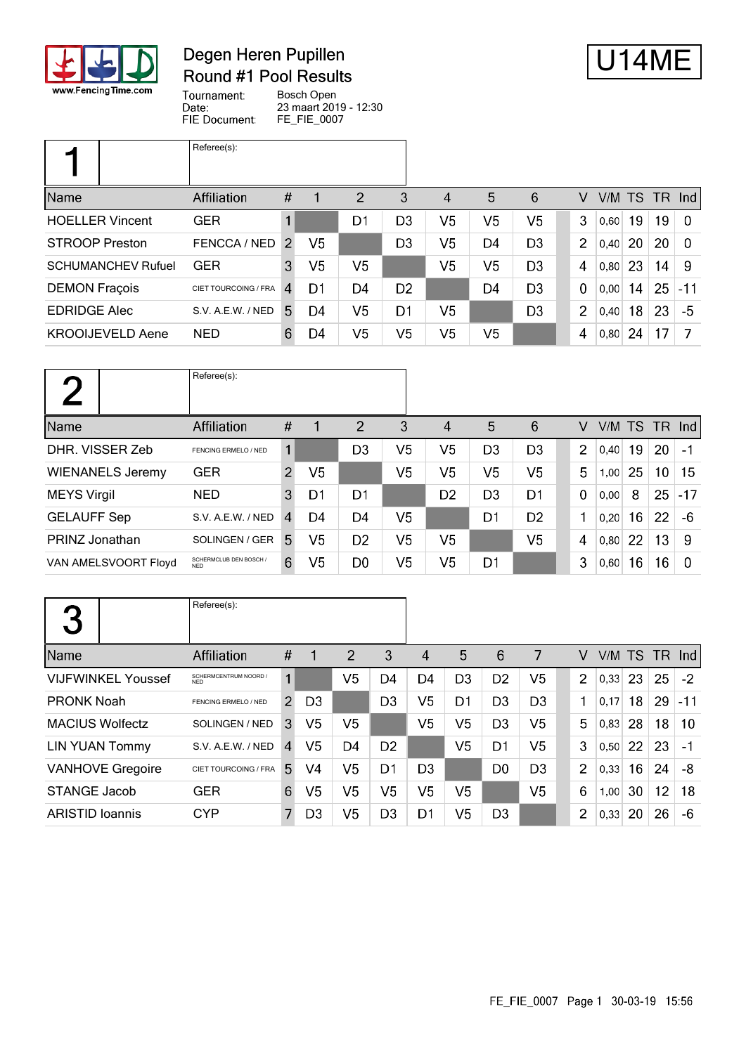

### Degen Heren Pupillen Round #1 Pool Results



Tournament: Bosch Open Date: 23 maart 2019 - 12:30 FIE Document: FE\_FIE\_0007

|                           | Referee(s):          |                |                |                |                |                |                |                |                |        |    |      |               |
|---------------------------|----------------------|----------------|----------------|----------------|----------------|----------------|----------------|----------------|----------------|--------|----|------|---------------|
| Name                      | Affiliation          | $\#$           |                | $\overline{2}$ | 3              | $\overline{4}$ | 5              | 6              | V              | V/M TS |    | - TR | $\lfloor$ lnd |
| <b>HOELLER Vincent</b>    | <b>GER</b>           | 1              |                | D1             | D <sub>3</sub> | V5             | V5             | V <sub>5</sub> | 3              | 0,60   | 19 | 19   | $\Omega$      |
| <b>STROOP Preston</b>     | FENCCA / NED         | $\mathcal{P}$  | V <sub>5</sub> |                | D <sub>3</sub> | V5             | D <sub>4</sub> | D <sub>3</sub> | 2              | 0,40   | 20 | 20   | -0            |
| <b>SCHUMANCHEV Rufuel</b> | <b>GER</b>           | 3              | V5             | V5             |                | V5             | V5             | D <sub>3</sub> | 4              | 0,80   | 23 | 14   | -9            |
| <b>DEMON Fraçois</b>      | CIET TOURCOING / FRA | $\overline{4}$ | D1             | D4             | D <sub>2</sub> |                | D4             | D <sub>3</sub> | $\mathbf 0$    | 0,00   | 14 | 25   | $-11$         |
| <b>EDRIDGE Alec</b>       | S.V. A.E.W. / NED    | 5.             | D4             | V5             | D1             | V <sub>5</sub> |                | D <sub>3</sub> | $\overline{2}$ | 0,40   | 18 | 23   | -5            |
| <b>KROOIJEVELD Aene</b>   | <b>NED</b>           | 6              | D4             | V5             | V <sub>5</sub> | V <sub>5</sub> | V <sub>5</sub> |                | 4              | 0,80   | 24 | 17   |               |

|                         | Referee(s):                          |                |                |                |                |                  |                |                |                |      |    |               |          |
|-------------------------|--------------------------------------|----------------|----------------|----------------|----------------|------------------|----------------|----------------|----------------|------|----|---------------|----------|
| Name                    | Affiliation                          | #              |                | $\overline{2}$ | 3              | $\boldsymbol{A}$ | 5              | 6              | V              |      |    | V/M TS TR Ind |          |
| DHR. VISSER Zeb         | FENCING ERMELO / NED                 |                |                | D <sub>3</sub> | V <sub>5</sub> | V <sub>5</sub>   | D <sub>3</sub> | D <sub>3</sub> | $\overline{2}$ | 0.40 | 19 | 20            | $-1$     |
| <b>WIENANELS Jeremy</b> | <b>GER</b>                           | $\overline{2}$ | V <sub>5</sub> |                | V <sub>5</sub> | V <sub>5</sub>   | V <sub>5</sub> | V <sub>5</sub> | 5              | 1,00 | 25 | 10            | 15       |
| <b>MEYS Virgil</b>      | <b>NED</b>                           | 3              | D1             | D1             |                | D <sub>2</sub>   | D <sub>3</sub> | D <sub>1</sub> | $\mathbf 0$    | 0,00 | 8  | 25            | $-17$    |
| <b>GELAUFF Sep</b>      | S.V. A.E.W. / NED                    | 4              | D4             | D4             | V5             |                  | D <sub>1</sub> | D <sub>2</sub> | 1              | 0,20 | 16 | 22            | -6       |
| PRINZ Jonathan          | SOLINGEN / GER                       | 5.             | V5             | D <sub>2</sub> | V <sub>5</sub> | V <sub>5</sub>   |                | V5             | 4              | 0,80 | 22 | 13            | -9       |
| VAN AMELSVOORT Floyd    | SCHERMCLUB DEN BOSCH /<br><b>NED</b> | 6              | V5             | D0             | V <sub>5</sub> | V <sub>5</sub>   | D <sub>1</sub> |                | 3              | 0,60 | 16 | 16            | $\Omega$ |

| 3                         | Referee(s):                         |                |                |                |                |                |                |                |                |                |        |    |     |       |
|---------------------------|-------------------------------------|----------------|----------------|----------------|----------------|----------------|----------------|----------------|----------------|----------------|--------|----|-----|-------|
| Name                      | Affiliation                         | #              | 1              | 2              | 3              | 4              | 5              | 6              | 7              | V              | V/M TS |    | TR. | Ind   |
| <b>VIJFWINKEL Youssef</b> | SCHERMCENTRUM NOORD /<br><b>NED</b> | 1              |                | V5             | D4             | D4             | D <sub>3</sub> | D <sub>2</sub> | V <sub>5</sub> | $\overline{2}$ | 0.33   | 23 | 25  | $-2$  |
| <b>PRONK Noah</b>         | FENCING ERMELO / NED                | $\overline{2}$ | D <sub>3</sub> |                | D <sub>3</sub> | V5             | D1             | D <sub>3</sub> | D <sub>3</sub> | 1              | 0,17   | 18 | 29  | $-11$ |
| <b>MACIUS Wolfectz</b>    | SOLINGEN / NED                      | 3              | V5             | V5             |                | V5             | V <sub>5</sub> | D <sub>3</sub> | V <sub>5</sub> | 5              | 0.83   | 28 | 18  | 10    |
| <b>LIN YUAN Tommy</b>     | S.V. A.E.W. / NED                   | $\overline{4}$ | V5             | D <sub>4</sub> | D <sub>2</sub> |                | V5             | D <sub>1</sub> | V5             | 3              | 0,50   | 22 | 23  | $-1$  |
| <b>VANHOVE Gregoire</b>   | CIET TOURCOING / FRA                | 5              | V4             | V <sub>5</sub> | D1             | D <sub>3</sub> |                | D <sub>0</sub> | D <sub>3</sub> | $\overline{2}$ | 0,33   | 16 | 24  | -8    |
| <b>STANGE Jacob</b>       | <b>GER</b>                          | 6              | V5             | V5             | V5             | V5             | V5             |                | V5             | 6              | 1,00   | 30 | 12  | 18    |
| <b>ARISTID Ioannis</b>    | <b>CYP</b>                          | 7              | D3             | V5             | D <sub>3</sub> | D1             | V5             | D <sub>3</sub> |                | 2              | 0,33   | 20 | 26  | -6    |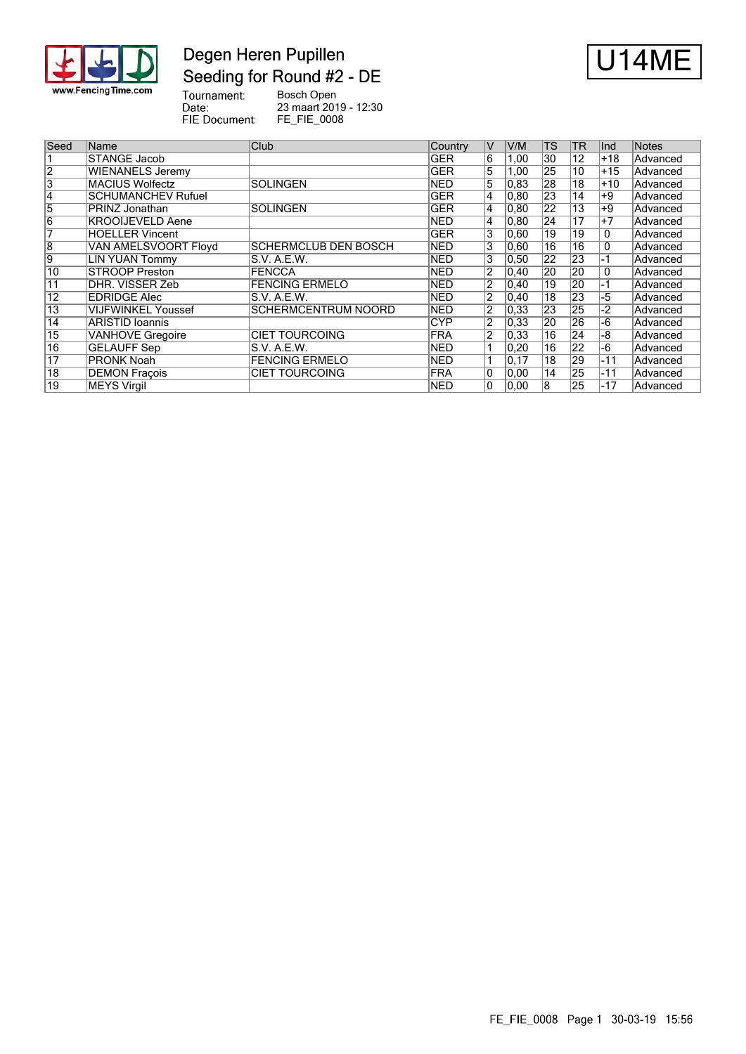

## Degen Heren Pupillen Seeding for Round #2 - DE



Tournament:<br>Date:<br>FIE Document: Bosch Open 23 maart 2019 - 12:30 FE\_FIE\_0008

| Seed            | Name                      | Club                        | Country    | ΙV             | V/M               | <b>TS</b>       | <b>TR</b> | llnd  | <b>Notes</b> |
|-----------------|---------------------------|-----------------------------|------------|----------------|-------------------|-----------------|-----------|-------|--------------|
|                 | <b>STANGE Jacob</b>       |                             | GER        | 6              | 1,00              | 30              | 12        | +18   | Advanced     |
| $\overline{2}$  | <b>WIENANELS Jeremy</b>   |                             | <b>GER</b> | 5              | 1,00              | 25              | 10        | $+15$ | Advanced     |
| 3               | MACIUS Wolfectz           | <b>SOLINGEN</b>             | <b>NED</b> | 5              | $ 0.83\rangle$    | 28              | 18        | $+10$ | Advanced     |
| 14              | <b>SCHUMANCHEV Rufuel</b> |                             | <b>GER</b> | 4              | 0.80              | 23              | 14        | +9    | Advanced     |
| 5               | PRINZ Jonathan            | <b>SOLINGEN</b>             | <b>GER</b> | 4              | 0, 80             | 22              | 13        | +9    | Advanced     |
| $\overline{6}$  | <b>KROOIJEVELD Aene</b>   |                             | <b>NED</b> | 4              | 0.80              | 24              | 17        | $+7$  | Advanced     |
| 7               | <b>HOELLER Vincent</b>    |                             | <b>GER</b> | 3              | 0,60              | $\overline{19}$ | 19        | 0     | Advanced     |
| $\overline{8}$  | VAN AMELSVOORT Floyd      | <b>SCHERMCLUB DEN BOSCH</b> | <b>NED</b> | 3              | 0,60              | 16              | 16        | 0     | Advanced     |
| 9               | LIN YUAN Tommy            | IS.V. A.E.W.                | INED       | 3              | 0,50              | 22              | 23        | -1    | Advanced     |
| 10              | <b>STROOP Preston</b>     | FENCCA                      | <b>NED</b> | 2              | $ 0,40\rangle$    | 20              | 20        | 0     | Advanced     |
| 11              | DHR. VISSER Zeb           | <b>FENCING ERMELO</b>       | <b>NED</b> | $\overline{2}$ | $ 0,40\rangle$    | 19              | 20        | -1    | Advanced     |
| 12              | <b>EDRIDGE Alec</b>       | S.V. A.E.W.                 | INED       | 2              | $ 0,40\rangle$    | 18              | 23        | -5    | Advanced     |
| 13              | <b>VIJFWINKEL Youssef</b> | <b>SCHERMCENTRUM NOORD</b>  | INED       | $\overline{2}$ | $ 0.33\rangle$    | 23              | 25        | -2    | Advanced     |
| 14              | ARISTID Ioannis           |                             | <b>CYP</b> | $\overline{2}$ | 0,33              | 20              | 26        | -6    | Advanced     |
| 15              | <b>VANHOVE Gregoire</b>   | <b>CIET TOURCOING</b>       | <b>FRA</b> | $\overline{2}$ | 0,33              | 16              | 24        | -8    | Advanced     |
| $\overline{16}$ | <b>GELAUFF Sep</b>        | S.V. A.E.W.                 | INED       |                | 0,20              | 16              | 22        | $-6$  | Advanced     |
| $\overline{17}$ | PRONK Noah                | <b>FENCING ERMELO</b>       | <b>NED</b> |                | $\overline{0,17}$ | 18              | 29        | $-11$ | Advanced     |
| $\overline{18}$ | <b>DEMON Fraçois</b>      | <b>CIET TOURCOING</b>       | FRA        | 10             | 0,00              | 14              | 25        | $-11$ | Advanced     |
| $\overline{19}$ | MEYS Virgil               |                             | <b>NED</b> | 0              | 0.00              | 8               | 25        | $-17$ | Advanced     |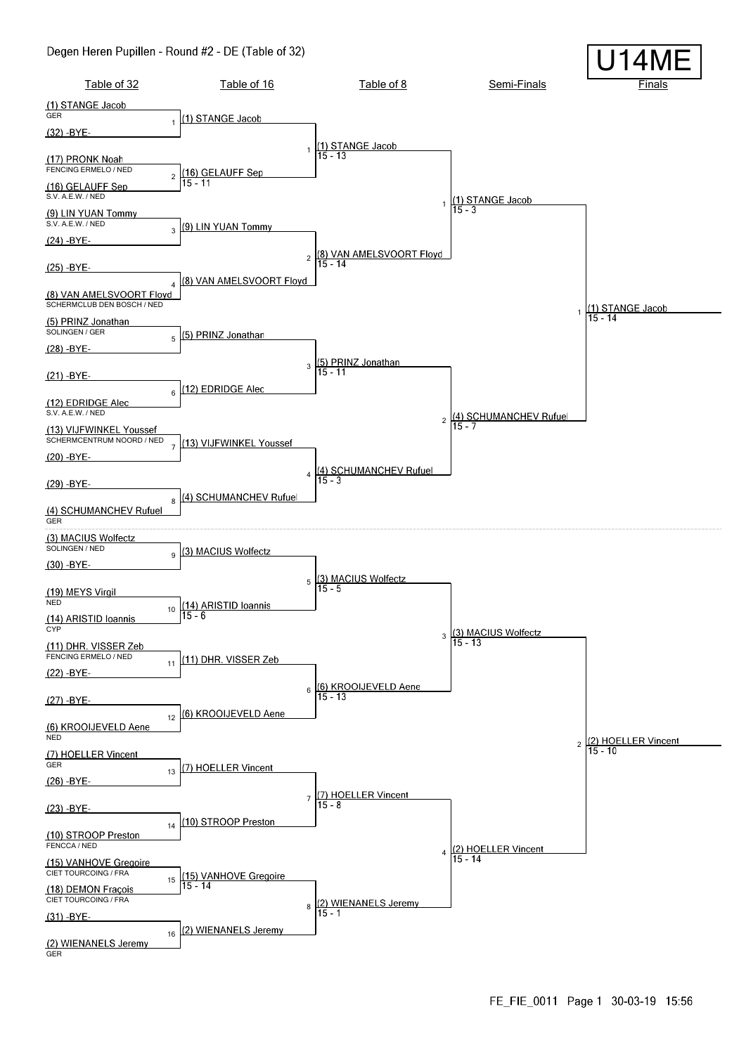#### Degen Heren Pupillen - Round #2 - DE (Table of 32)

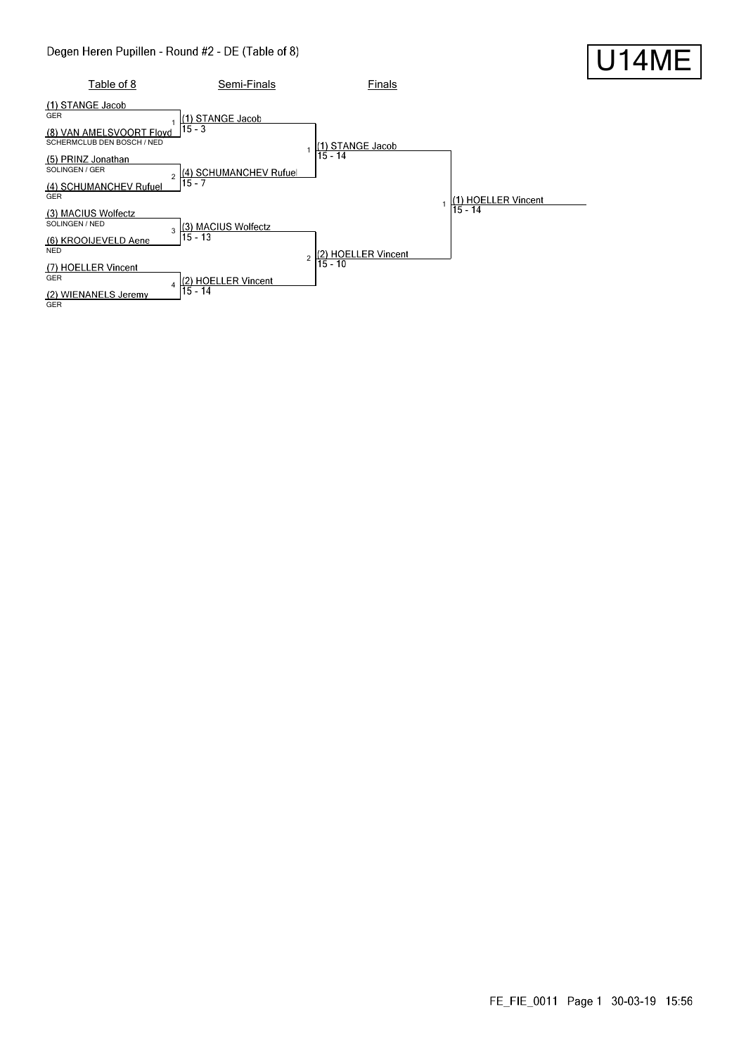### Degen Heren Pupillen - Round #2 - DE (Table of 8)



#### FE\_FIE\_0011 Page 1 30-03-19 15:56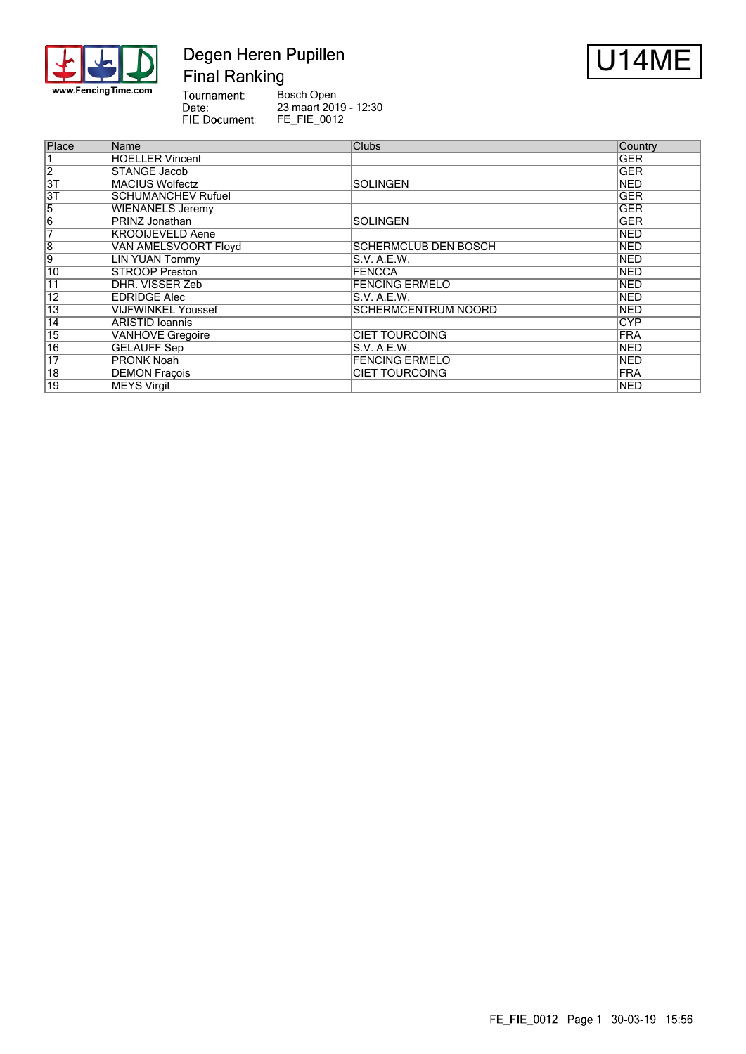

## Degen Heren Pupillen **Final Ranking**



Tournament:<br>Date: Bosch Open 23 maart 2019 - 12:30 FIE Document: FE\_FIE\_0012

| Place           | Name                      | <b>Clubs</b>                | Country    |
|-----------------|---------------------------|-----------------------------|------------|
|                 | <b>HOELLER Vincent</b>    |                             | <b>GER</b> |
| $\overline{2}$  | STANGE Jacob              |                             | <b>GER</b> |
| $\overline{3T}$ | <b>MACIUS Wolfectz</b>    | <b>SOLINGEN</b>             | <b>NED</b> |
| $\overline{3T}$ | <b>SCHUMANCHEV Rufuel</b> |                             | <b>GER</b> |
| 5               | <b>WIENANELS Jeremy</b>   |                             | GER        |
| $\overline{6}$  | PRINZ Jonathan            | <b>SOLINGEN</b>             | <b>GER</b> |
| 7               | <b>KROOIJEVELD Aene</b>   |                             | <b>NED</b> |
| $\overline{8}$  | VAN AMELSVOORT Floyd      | <b>SCHERMCLUB DEN BOSCH</b> | <b>NED</b> |
| 9               | <b>LIN YUAN Tommy</b>     | S.V. A.E.W.                 | <b>NED</b> |
| 10              | <b>STROOP Preston</b>     | <b>FENCCA</b>               | <b>NED</b> |
| $\overline{11}$ | DHR. VISSER Zeb           | <b>FENCING ERMELO</b>       | <b>NED</b> |
| 12              | <b>EDRIDGE Alec</b>       | S.V. A.E.W.                 | <b>NED</b> |
| 13              | <b>VIJFWINKEL Youssef</b> | <b>SCHERMCENTRUM NOORD</b>  | <b>NED</b> |
| $\overline{14}$ | <b>ARISTID Ioannis</b>    |                             | <b>CYP</b> |
| 15              | <b>VANHOVE Gregoire</b>   | <b>CIET TOURCOING</b>       | FRA        |
| $\overline{16}$ | <b>GELAUFF Sep</b>        | IS.V. A.E.W.                | <b>NED</b> |
| 17              | <b>PRONK Noah</b>         | <b>FENCING ERMELO</b>       | <b>NED</b> |
| $\overline{18}$ | <b>DEMON Fraçois</b>      | <b>CIET TOURCOING</b>       | FRA        |
| 19              | <b>MEYS Virgil</b>        |                             | <b>NED</b> |